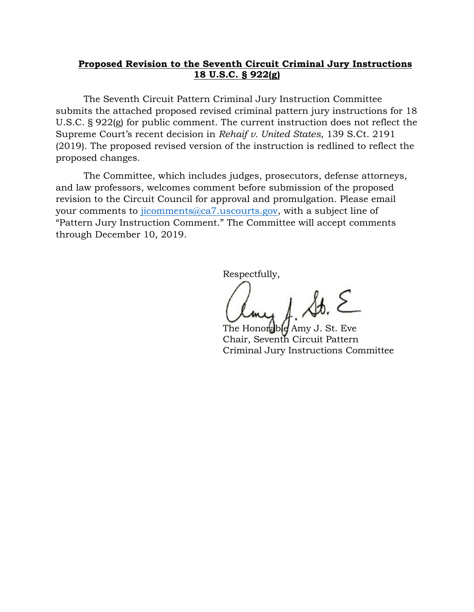# **Proposed Revision to the Seventh Circuit Criminal Jury Instructions 18 U.S.C. § 922(g)**

 The Seventh Circuit Pattern Criminal Jury Instruction Committee submits the attached proposed revised criminal pattern jury instructions for 18 U.S.C. § 922(g) for public comment. The current instruction does not reflect the Supreme Court's recent decision in *Rehaif v. United States*, 139 S.Ct. 2191 (2019). The proposed revised version of the instruction is redlined to reflect the proposed changes.

 The Committee, which includes judges, prosecutors, defense attorneys, and law professors, welcomes comment before submission of the proposed revision to the Circuit Council for approval and promulgation. Please email your comments to jicomments@ca7.uscourts.gov, with a subject line of "Pattern Jury Instruction Comment." The Committee will accept comments through December 10, 2019.

Respectfully,

 $\lambda$ <sup>3</sup>

The Honorable Amy J. St. Eve Chair, Seventh Circuit Pattern Criminal Jury Instructions Committee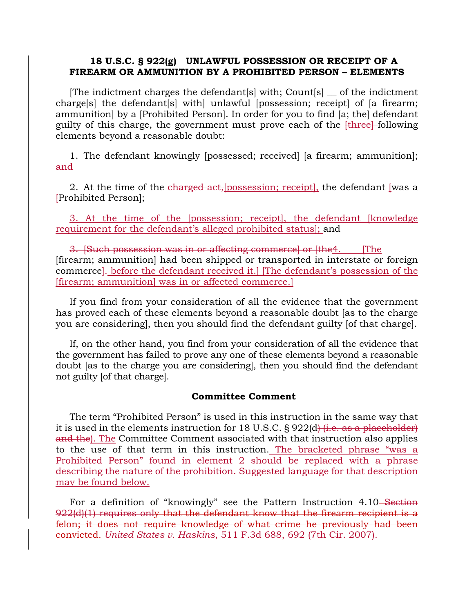## **18 U.S.C. § 922(g) UNLAWFUL POSSESSION OR RECEIPT OF A FIREARM OR AMMUNITION BY A PROHIBITED PERSON – ELEMENTS**

[The indictment charges the defendant[s] with; Count[s] \_\_ of the indictment charge[s] the defendant[s] with] unlawful [possession; receipt] of [a firearm; ammunition] by a [Prohibited Person]. In order for you to find [a; the] defendant guilty of this charge, the government must prove each of the  $[three]+$  following elements beyond a reasonable doubt:

1. The defendant knowingly [possessed; received] [a firearm; ammunition]; and

2. At the time of the charged act, possession; receipt, the defendant was a [Prohibited Person];

3. At the time of the [possession; receipt], the defendant [knowledge requirement for the defendant's alleged prohibited status]; and

3. Such possession was in or affecting commerce or [the 4. [The [firearm; ammunition] had been shipped or transported in interstate or foreign commerce<sup>1</sup>. before the defendant received it.] [The defendant's possession of the [firearm; ammunition] was in or affected commerce.]

If you find from your consideration of all the evidence that the government has proved each of these elements beyond a reasonable doubt [as to the charge you are considering], then you should find the defendant guilty [of that charge].

If, on the other hand, you find from your consideration of all the evidence that the government has failed to prove any one of these elements beyond a reasonable doubt [as to the charge you are considering], then you should find the defendant not guilty [of that charge].

## **Committee Comment**

The term "Prohibited Person" is used in this instruction in the same way that it is used in the elements instruction for 18 U.S.C.  $\S 922(d)$  (i.e. as a placeholder) and the). The Committee Comment associated with that instruction also applies to the use of that term in this instruction. The bracketed phrase "was a Prohibited Person" found in element 2 should be replaced with a phrase describing the nature of the prohibition. Suggested language for that description may be found below.

For a definition of "knowingly" see the Pattern Instruction 4.10 Section 922(d)(1) requires only that the defendant know that the firearm recipient is a felon; it does not require knowledge of what crime he previously had been convicted. *United States v. Haskins*, 511 F.3d 688, 692 (7th Cir. 2007).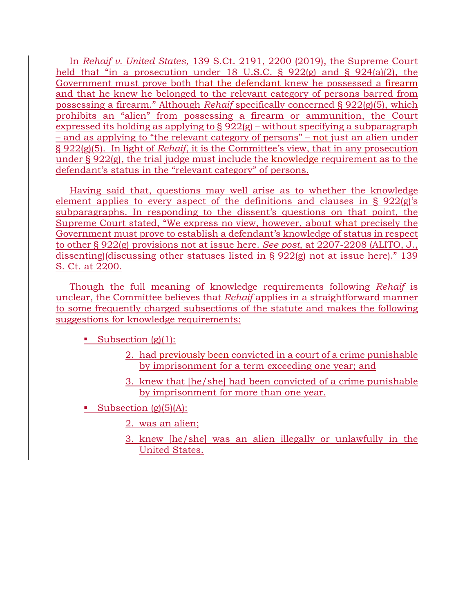In *Rehaif v. United States*, 139 S.Ct. 2191, 2200 (2019), the Supreme Court held that "in a prosecution under 18 U.S.C. § 922(g) and § 924(a)(2), the Government must prove both that the defendant knew he possessed a firearm and that he knew he belonged to the relevant category of persons barred from possessing a firearm." Although *Rehaif* specifically concerned § 922(g)(5), which prohibits an "alien" from possessing a firearm or ammunition, the Court expressed its holding as applying to § 922(g) – without specifying a subparagraph – and as applying to "the relevant category of persons" – not just an alien under § 922(g)(5). In light of *Rehaif*, it is the Committee's view, that in any prosecution under § 922(g), the trial judge must include the knowledge requirement as to the defendant's status in the "relevant category" of persons.

Having said that, questions may well arise as to whether the knowledge element applies to every aspect of the definitions and clauses in § 922(g)'s subparagraphs. In responding to the dissent's questions on that point, the Supreme Court stated, "We express no view, however, about what precisely the Government must prove to establish a defendant's knowledge of status in respect to other § 922(g) provisions not at issue here. *See post*, at 2207-2208 (ALITO, J., dissenting)(discussing other statuses listed in § 922(g) not at issue here)." 139 S. Ct. at 2200.

Though the full meaning of knowledge requirements following *Rehaif* is unclear, the Committee believes that *Rehaif* applies in a straightforward manner to some frequently charged subsections of the statute and makes the following suggestions for knowledge requirements:

Subsection  $(g)(1)$ :

- 2. had previously been convicted in a court of a crime punishable by imprisonment for a term exceeding one year; and
- 3. knew that [he/she] had been convicted of a crime punishable by imprisonment for more than one year.

Subsection  $(g)(5)(A)$ :

- 2. was an alien;
- 3. knew [he/she] was an alien illegally or unlawfully in the United States.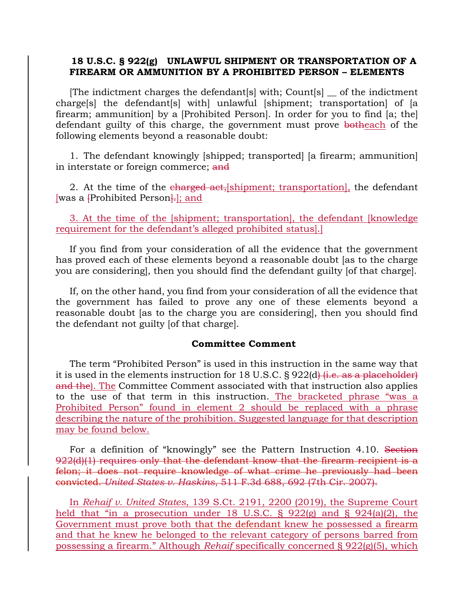## **18 U.S.C. § 922(g) UNLAWFUL SHIPMENT OR TRANSPORTATION OF A FIREARM OR AMMUNITION BY A PROHIBITED PERSON – ELEMENTS**

[The indictment charges the defendant[s] with; Count[s] \_\_ of the indictment charge[s] the defendant[s] with] unlawful [shipment; transportation] of [a firearm; ammunition] by a [Prohibited Person]. In order for you to find [a; the] defendant guilty of this charge, the government must prove botheach of the following elements beyond a reasonable doubt:

1. The defendant knowingly [shipped; transported] [a firearm; ammunition] in interstate or foreign commerce; and

2. At the time of the charged act, shipment; transportation, the defendant [was a **[Prohibited Person**]; and

3. At the time of the [shipment; transportation], the defendant [knowledge requirement for the defendant's alleged prohibited status].]

If you find from your consideration of all the evidence that the government has proved each of these elements beyond a reasonable doubt [as to the charge you are considering], then you should find the defendant guilty [of that charge].

If, on the other hand, you find from your consideration of all the evidence that the government has failed to prove any one of these elements beyond a reasonable doubt [as to the charge you are considering], then you should find the defendant not guilty [of that charge].

## **Committee Comment**

The term "Prohibited Person" is used in this instruction in the same way that it is used in the elements instruction for 18 U.S.C. § 922(d) (*i.e. as a placeholder*) and the). The Committee Comment associated with that instruction also applies to the use of that term in this instruction. The bracketed phrase "was a Prohibited Person" found in element 2 should be replaced with a phrase describing the nature of the prohibition. Suggested language for that description may be found below.

For a definition of "knowingly" see the Pattern Instruction 4.10. Section 922(d)(1) requires only that the defendant know that the firearm recipient is a felon; it does not require knowledge of what crime he previously had been convicted. *United States v. Haskins*, 511 F.3d 688, 692 (7th Cir. 2007).

In *Rehaif v. United States*, 139 S.Ct. 2191, 2200 (2019), the Supreme Court held that "in a prosecution under 18 U.S.C. § 922(g) and § 924(a)(2), the Government must prove both that the defendant knew he possessed a firearm and that he knew he belonged to the relevant category of persons barred from possessing a firearm." Although *Rehaif* specifically concerned § 922(g)(5), which